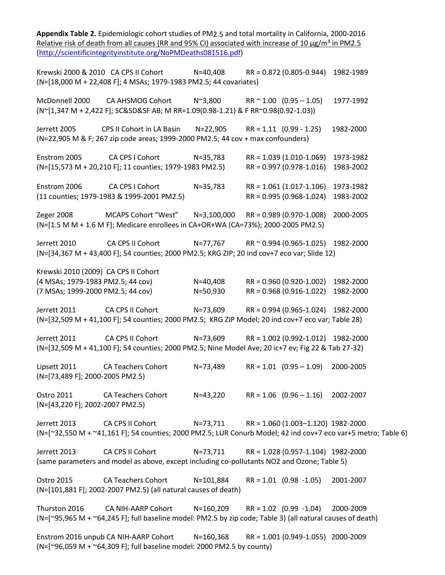**Appendix Table 2.** Epidemiologic cohort studies of PM2.5 and total mortality in California, 2000-2016 Relative risk of death from all causes (RR and 95% CI) associated with increase of 10  $\mu$ g/m<sup>3</sup> in PM2.5 [\(http://scientificintegrityinstitute.org/NoPMDeaths081516.pdf\)](http://scientificintegrityinstitute.org/NoPMDeaths081516.pdf) Krewski 2000 & 2010 CA CPS II Cohort N=40,408 RR = 0.872 (0.805-0.944) 1982-1989 (N=[18,000 M + 22,408 F]; 4 MSAs; 1979-1983 PM2.5; 44 covariates) McDonnell 2000 CA AHSMOG Cohort N~3,800 RR ~ 1.00 (0.95 – 1.05) 1977-1992 (N~[1,347 M + 2,422 F]; SC&SD&SF AB; M RR=1.09(0.98-1.21) & F RR~0.98(0.92-1.03)) Jerrett 2005 CPS II Cohort in LA Basin N=22,905 RR = 1.11 (0.99 - 1.25) 1982-2000 (N=22,905 M & F; 267 zip code areas; 1999-2000 PM2.5; 44 cov + max confounders) Enstrom 2005 CA CPS I Cohort N=35,783 RR = 1.039 (1.010-1.069) 1973-1982 (N=[15,573 M + 20,210 F]; 11 counties; 1979-1983 PM2.5) RR = 0.997 (0.978-1.016) 1983-2002 Enstrom 2006 CA CPS I Cohort N=35,783 RR = 1.061 (1.017-1.106) 1973-1982 (11 counties; 1979-1983 & 1999-2001 PM2.5) RR = 0.995 (0.968-1.024) 1983-2002 Zeger 2008 MCAPS Cohort "West" N=3,100,000 RR = 0.989 (0.970-1.008) 2000-2005 (N=[1.5 M M + 1.6 M F]; Medicare enrollees in CA+OR+WA (CA=73%); 2000-2005 PM2.5) Jerrett 2010 CA CPS II Cohort N=77,767 RR ~ 0.994 (0.965-1.025) 1982-2000 (N=[34,367 M + 43,400 F]; 54 counties; 2000 PM2.5; KRG ZIP; 20 ind cov+7 eco var; Slide 12) Krewski 2010 (2009) CA CPS II Cohort (4 MSAs; 1979-1983 PM2.5; 44 cov) N=40,408 RR = 0.960 (0.920-1.002) 1982-2000 (7 MSAs; 1999-2000 PM2.5; 44 cov) N=50,930 RR = 0.968 (0.916-1.022) 1982-2000 Jerrett 2011 CA CPS II Cohort N=73,609 RR = 0.994 (0.965-1.024) 1982-2000 (N=[32,509 M + 41,100 F]; 54 counties; 2000 PM2.5; KRG ZIP Model; 20 ind cov+7 eco var; Table 28) Jerrett 2011 CA CPS II Cohort N=73,609 RR = 1.002 (0.992-1.012) 1982-2000 (N=[32,509 M + 41,100 F]; 54 counties; 2000 PM2.5; Nine Model Ave; 20 ic+7 ev; Fig 22 & Tab 27-32) Lipsett 2011 CA Teachers Cohort N=73,489 RR = 1.01 (0.95 – 1.09) 2000-2005 (N=[73,489 F]; 2000-2005 PM2.5) Ostro 2011 CA Teachers Cohort N=43,220 RR = 1.06 (0.96 – 1.16) 2002-2007 (N=[43,220 F]; 2002-2007 PM2.5) Jerrett 2013 CA CPS II Cohort N=73,711 RR = 1.060 (1.003–1.120) 1982-2000 (N=[~32,550 M + ~41,161 F]; 54 counties; 2000 PM2.5; LUR Conurb Model; 42 ind cov+7 eco var+5 metro; Table 6) Jerrett 2013 CA CPS II Cohort N=73,711 RR = 1.028 (0.957-1.104) 1982-2000 (same parameters and model as above, except including co-pollutants NO2 and Ozone; Table 5) Ostro 2015 CA Teachers Cohort N=101,884 RR = 1.01 (0.98 -1.05) 2001-2007 (N=[101,881 F]; 2002-2007 PM2.5) (all natural causes of death) Thurston 2016 CA NIH-AARP Cohort N=160,209 RR = 1.02 (0.99 -1.04) 2000-2009 (N=[~95,965 M + ~64,245 F]; full baseline model: PM2.5 by zip code; Table 3) (all natural causes of death) Enstrom 2016 unpub CA NIH-AARP Cohort N=160,368 RR = 1.001 (0.949-1.055) 2000-2009 (N=[~96,059 M + ~64,309 F]; full baseline model: 2000 PM2.5 by county)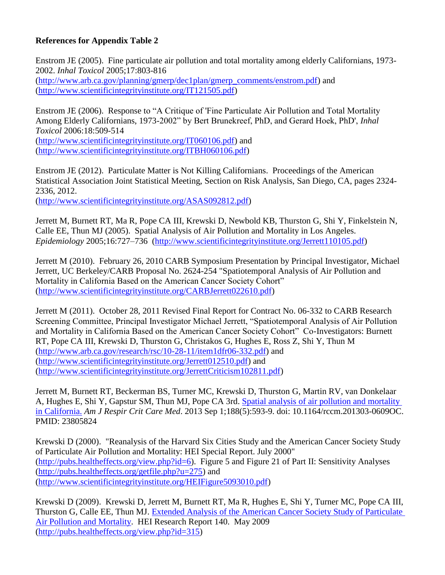## **References for Appendix Table 2**

Enstrom JE (2005). Fine particulate air pollution and total mortality among elderly Californians, 1973- 2002. *Inhal Toxicol* 2005;17:803-816 [\(http://www.arb.ca.gov/planning/gmerp/dec1plan/gmerp\\_comments/enstrom.pdf\)](http://www.arb.ca.gov/planning/gmerp/dec1plan/gmerp_comments/enstrom.pdf) and [\(http://www.scientificintegrityinstitute.org/IT121505.pdf\)](http://www.scientificintegrityinstitute.org/IT121505.pdf)

Enstrom JE (2006). Response to "A Critique of 'Fine Particulate Air Pollution and Total Mortality Among Elderly Californians, 1973-2002" by Bert Brunekreef, PhD, and Gerard Hoek, PhD', *Inhal Toxicol* 2006:18:509-514

[\(http://www.scientificintegrityinstitute.org/IT060106.pdf\)](http://www.scientificintegrityinstitute.org/IT060106.pdf) and [\(http://www.scientificintegrityinstitute.org/ITBH060106.pdf\)](http://www.scientificintegrityinstitute.org/ITBH060106.pdf)

Enstrom JE (2012). Particulate Matter is Not Killing Californians. Proceedings of the American Statistical Association Joint Statistical Meeting, Section on Risk Analysis, San Diego, CA, pages 2324- 2336, 2012.

[\(http://www.scientificintegrityinstitute.org/ASAS092812.pdf\)](http://www.scientificintegrityinstitute.org/ASAS092812.pdf)

Jerrett M, Burnett RT, Ma R, Pope CA III, Krewski D, Newbold KB, Thurston G, Shi Y, Finkelstein N, Calle EE, Thun MJ (2005). Spatial Analysis of Air Pollution and Mortality in Los Angeles. *Epidemiology* 2005;16:727–736 [\(http://www.scientificintegrityinstitute.org/Jerrett110105.pdf\)](http://www.scientificintegrityinstitute.org/Jerrett110105.pdf)

Jerrett M (2010). February 26, 2010 CARB Symposium Presentation by Principal Investigator, Michael Jerrett, UC Berkeley/CARB Proposal No. 2624-254 "Spatiotemporal Analysis of Air Pollution and Mortality in California Based on the American Cancer Society Cohort" [\(http://www.scientificintegrityinstitute.org/CARBJerrett022610.pdf\)](http://www.scientificintegrityinstitute.org/CARBJerrett022610.pdf)

Jerrett M (2011). October 28, 2011 Revised Final Report for Contract No. 06-332 to CARB Research Screening Committee, Principal Investigator Michael Jerrett, "Spatiotemporal Analysis of Air Pollution and Mortality in California Based on the American Cancer Society Cohort" Co-Investigators: Burnett RT, Pope CA III, Krewski D, Thurston G, Christakos G, Hughes E, Ross Z, Shi Y, Thun M [\(http://www.arb.ca.gov/research/rsc/10-28-11/item1dfr06-332.pdf\)](http://www.arb.ca.gov/research/rsc/10-28-11/item1dfr06-332.pdf) and [\(http://www.scientificintegrityinstitute.org/Jerrett012510.pdf\)](http://www.scientificintegrityinstitute.org/Jerrett012510.pdf) and [\(http://www.scientificintegrityinstitute.org/JerrettCriticism102811.pdf\)](http://www.scientificintegrityinstitute.org/JerrettCriticism102811.pdf)

Jerrett M, Burnett RT, Beckerman BS, Turner MC, Krewski D, Thurston G, Martin RV, van Donkelaar A, Hughes E, Shi Y, Gapstur SM, Thun MJ, Pope CA 3rd. [Spatial analysis of air pollution and mortality](http://www.ncbi.nlm.nih.gov/pubmed/23805824)  [in California.](http://www.ncbi.nlm.nih.gov/pubmed/23805824) *Am J Respir Crit Care Med*. 2013 Sep 1;188(5):593-9. doi: 10.1164/rccm.201303-0609OC. PMID: 23805824

Krewski D (2000). "Reanalysis of the Harvard Six Cities Study and the American Cancer Society Study of Particulate Air Pollution and Mortality: HEI Special Report. July 2000" [\(http://pubs.healtheffects.org/view.php?id=6\)](http://pubs.healtheffects.org/view.php?id=6). Figure 5 and Figure 21 of Part II: Sensitivity Analyses [\(http://pubs.healtheffects.org/getfile.php?u=275\)](http://pubs.healtheffects.org/getfile.php?u=275) and [\(http://www.scientificintegrityinstitute.org/HEIFigure5093010.pdf\)](http://www.scientificintegrityinstitute.org/HEIFigure5093010.pdf)

Krewski D (2009). Krewski D, Jerrett M, Burnett RT, Ma R, Hughes E, Shi Y, Turner MC, Pope CA III, Thurston G, Calle EE, Thun MJ. [Extended Analysis of the American Cancer Society Study of Particulate](http://pubs.healtheffects.org/view.php?id=315)  [Air Pollution and Mortality.](http://pubs.healtheffects.org/view.php?id=315) HEI Research Report 140. May 2009 [\(http://pubs.healtheffects.org/view.php?id=315\)](http://pubs.healtheffects.org/view.php?id=315)